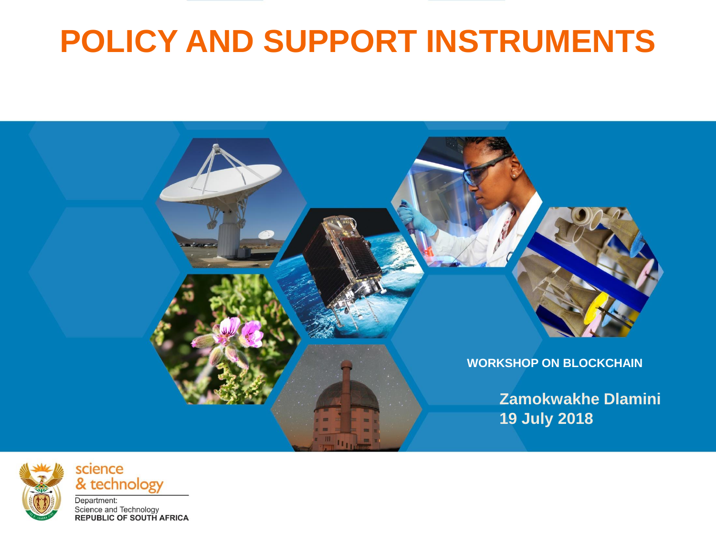# **POLICY AND SUPPORT INSTRUMENTS**





& technology Department: Science and Technology<br>REPUBLIC OF SOUTH AFRICA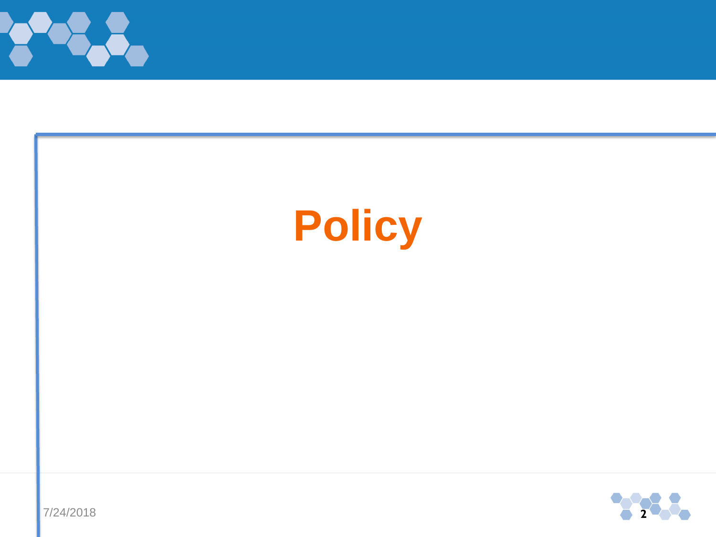

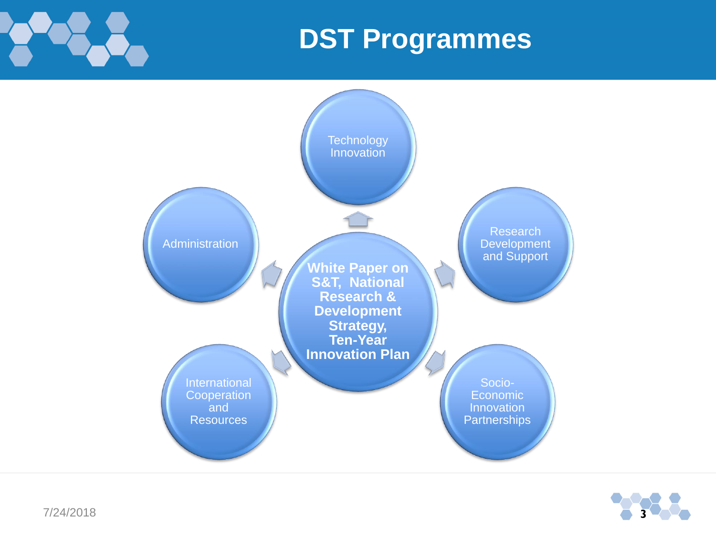

### **DST Programmes**



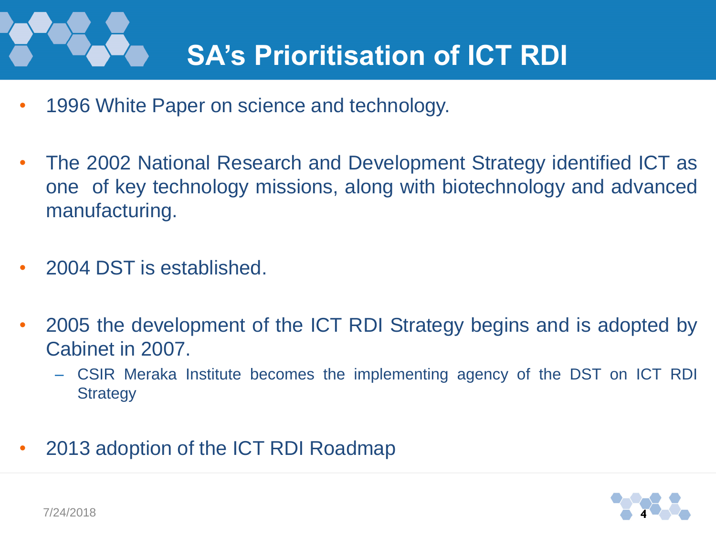# **SA's Prioritisation of ICT RDI**

- 1996 White Paper on science and technology.
- The 2002 National Research and Development Strategy identified ICT as one of key technology missions, along with biotechnology and advanced manufacturing.
- 2004 DST is established.
- 2005 the development of the ICT RDI Strategy begins and is adopted by Cabinet in 2007.
	- CSIR Meraka Institute becomes the implementing agency of the DST on ICT RDI **Strategy**
- 2013 adoption of the ICT RDI Roadmap

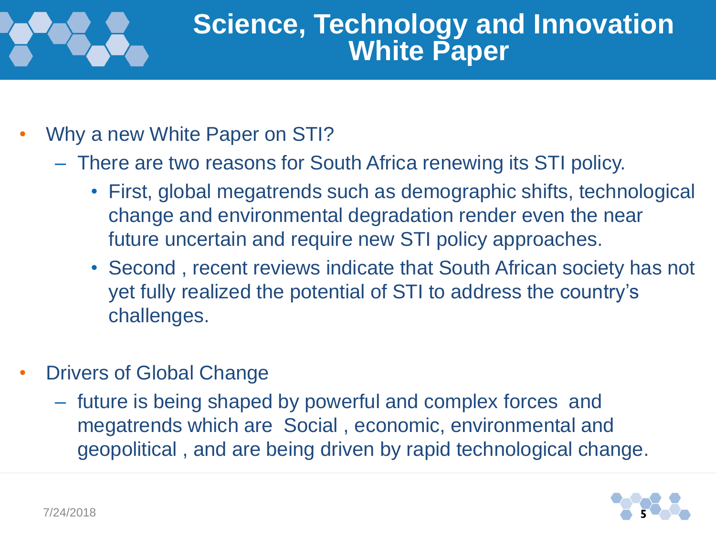### **Science, Technology and Innovation White Paper**

- Why a new White Paper on STI?
	- There are two reasons for South Africa renewing its STI policy.
		- First, global megatrends such as demographic shifts, technological change and environmental degradation render even the near future uncertain and require new STI policy approaches.
		- Second , recent reviews indicate that South African society has not yet fully realized the potential of STI to address the country's challenges.
- Drivers of Global Change
	- future is being shaped by powerful and complex forces and megatrends which are Social , economic, environmental and geopolitical , and are being driven by rapid technological change.

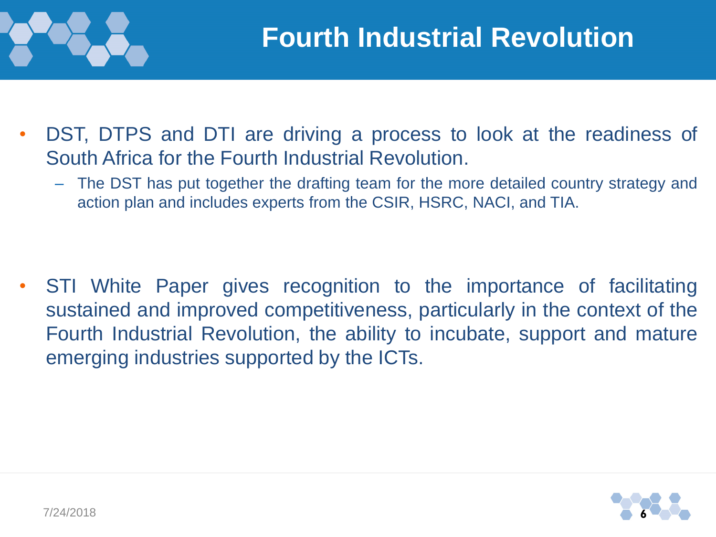

- DST, DTPS and DTI are driving a process to look at the readiness of South Africa for the Fourth Industrial Revolution.
	- The DST has put together the drafting team for the more detailed country strategy and action plan and includes experts from the CSIR, HSRC, NACI, and TIA.

STI White Paper gives recognition to the importance of facilitating sustained and improved competitiveness, particularly in the context of the Fourth Industrial Revolution, the ability to incubate, support and mature emerging industries supported by the ICTs.

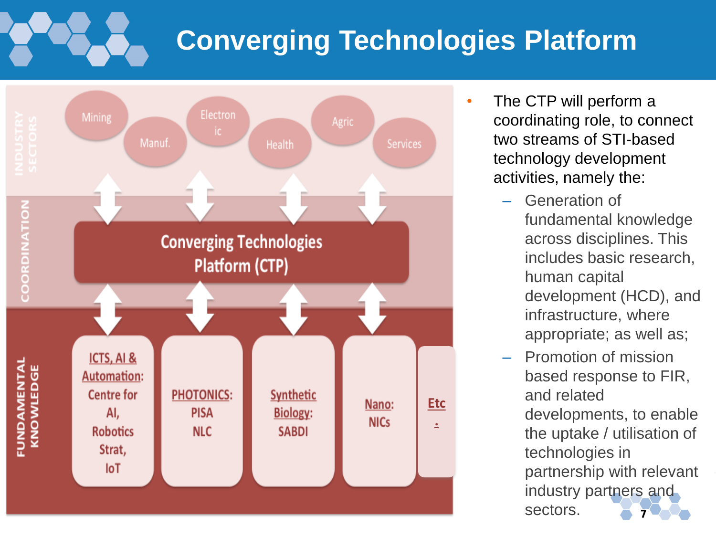# **Converging Technologies Platform**



- The CTP will perform a coordinating role, to connect two streams of STI-based technology development activities, namely the:
	- Generation of fundamental knowledge across disciplines. This includes basic research, human capital development (HCD), and infrastructure, where appropriate; as well as;
	- Promotion of mission based response to FIR, and related developments, to enable the uptake / utilisation of technologies in partnership with relevant industry partners and sectors. **<sup>7</sup>**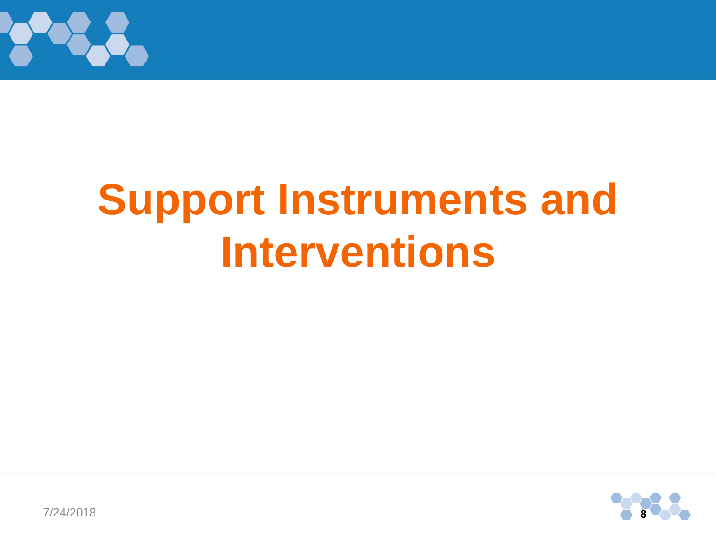

# **Support Instruments and Interventions**



7/24/2018 **8**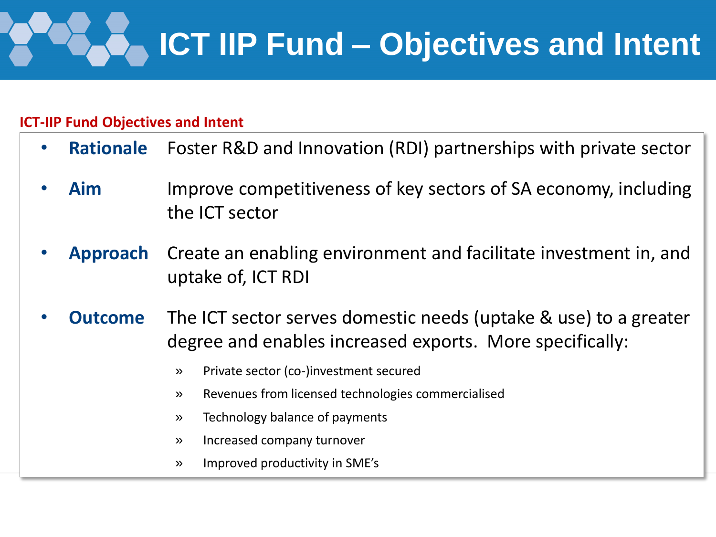

#### **ICT-IIP Fund Objectives and Intent**

- **Rationale** Foster R&D and Innovation (RDI) partnerships with private sector
- **Aim** Improve competitiveness of key sectors of SA economy, including the ICT sector
- **Approach** Create an enabling environment and facilitate investment in, and uptake of, ICT RDI
- **Outcome** The ICT sector serves domestic needs (uptake & use) to a greater degree and enables increased exports. More specifically:
	- » Private sector (co-)investment secured
	- » Revenues from licensed technologies commercialised
	- » Technology balance of payments
	- » Increased company turnover
	- » Improved productivity in SME's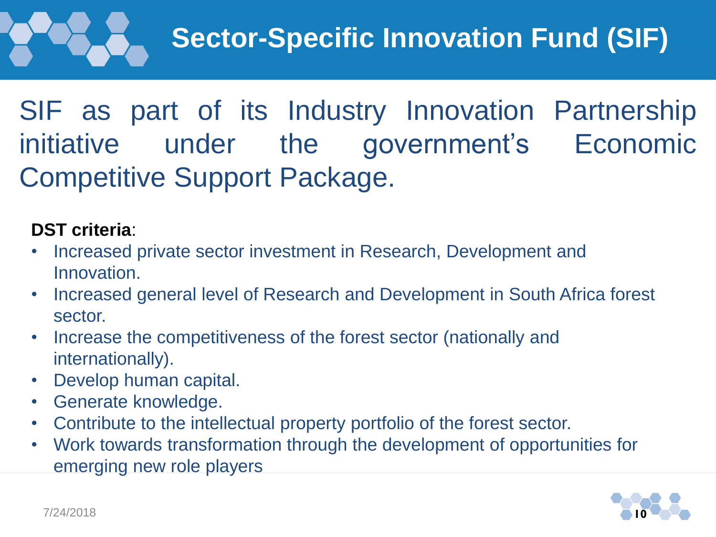### SIF as part of its Industry Innovation Partnership initiative under the government's Economic Competitive Support Package.

#### **DST criteria**:

- Increased private sector investment in Research, Development and Innovation.
- Increased general level of Research and Development in South Africa forest sector.
- Increase the competitiveness of the forest sector (nationally and internationally).
- Develop human capital.
- Generate knowledge.
- Contribute to the intellectual property portfolio of the forest sector.
- Work towards transformation through the development of opportunities for emerging new role players

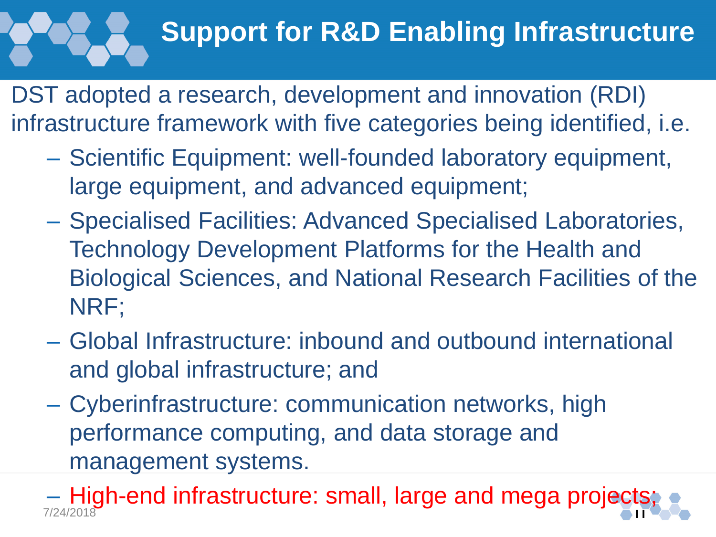# **Support for R&D Enabling Infrastructure**

DST adopted a research, development and innovation (RDI) infrastructure framework with five categories being identified, i.e.

- Scientific Equipment: well-founded laboratory equipment, large equipment, and advanced equipment;
- Specialised Facilities: Advanced Specialised Laboratories, Technology Development Platforms for the Health and Biological Sciences, and National Research Facilities of the NRF;
- Global Infrastructure: inbound and outbound international and global infrastructure; and
- Cyberinfrastructure: communication networks, high performance computing, and data storage and management systems.

– High-end infrastructure: small, large and mega projects; 7/24/2018 **11**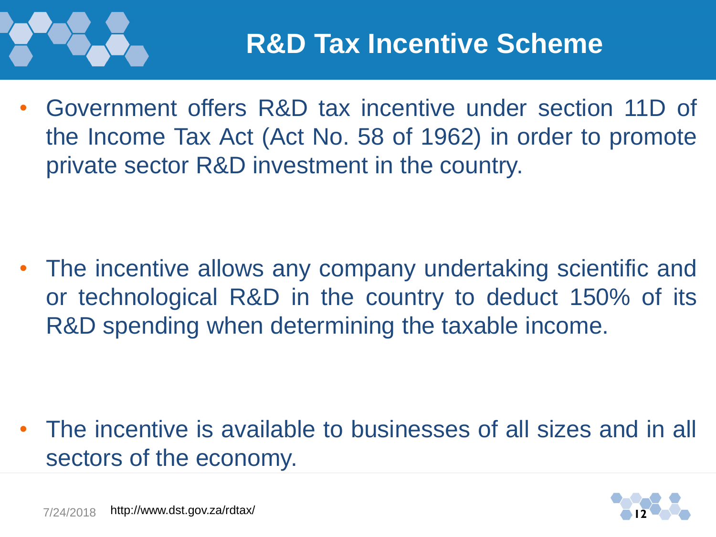

• Government offers R&D tax incentive under section 11D of the Income Tax Act (Act No. 58 of 1962) in order to promote private sector R&D investment in the country.

The incentive allows any company undertaking scientific and or technological R&D in the country to deduct 150% of its R&D spending when determining the taxable income.

• The incentive is available to businesses of all sizes and in all sectors of the economy.

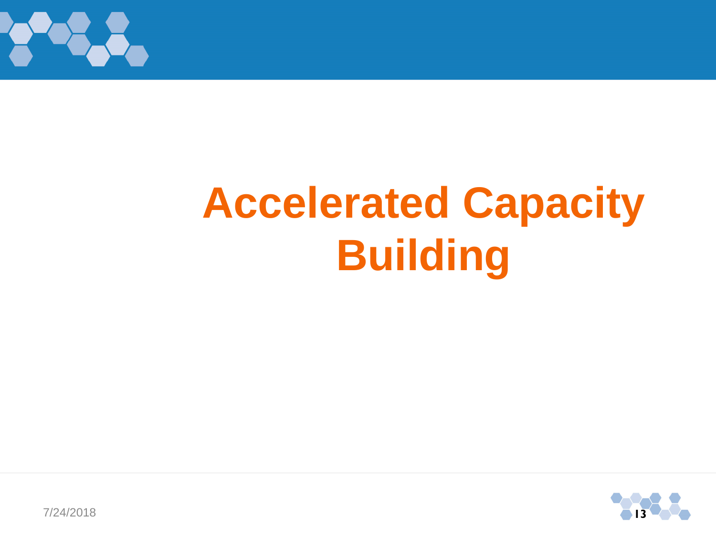

# **Accelerated Capacity Building**



7/24/2018 **13**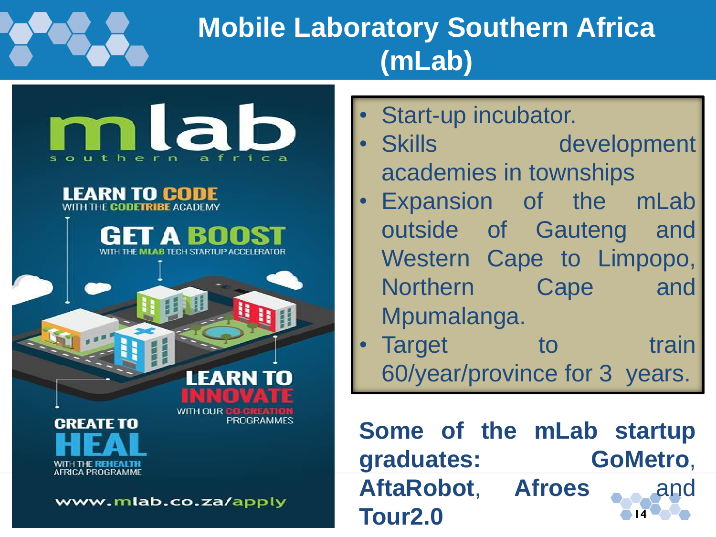## **Mobile Laboratory Southern Africa (mLab)**

mlab southern africa

GET A BOOS

MI AR TECH STARTLIP ACCELERATOR

**LEARN TO CODE** WITH THE CODETRIBE ACADEMY

> WITH OUR PROGRAM

CRFATF TO WITH THE **REHEALT**I **AFRICA PROGRAMME** 

www.mlab.co.za/apply

Start-up incubator.

- Skills development academies in townships
- Expansion of the mLab outside of Gauteng and Western Cape to Limpopo, Northern Cape and Mpumalanga.
- **Farget** to train 60/year/province for 3 years.

**14 Some of the mLab startup graduates: GoMetro**, AftaRobot, Afroes and **Tour2.0**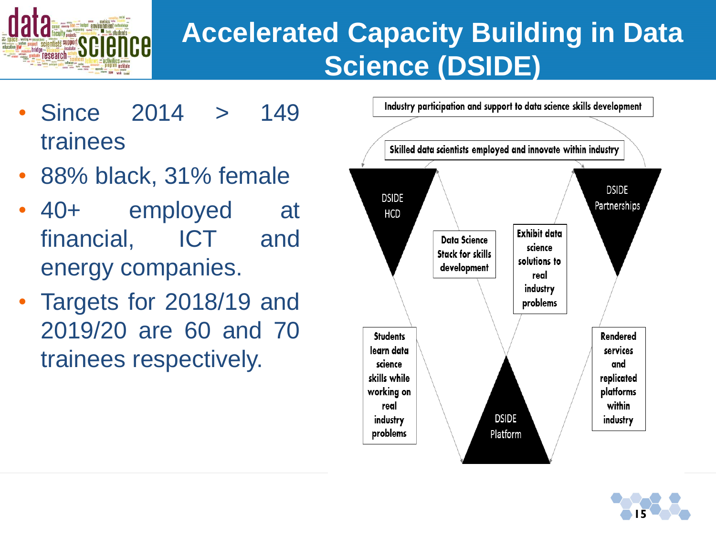

### **Accelerated Capacity Building in Data Science (DSIDE)**

- Since 2014 > 149 trainees
- 88% black, 31% female
- 40+ employed at financial, ICT and energy companies.
- Targets for 2018/19 and 2019/20 are 60 and 70 trainees respectively.



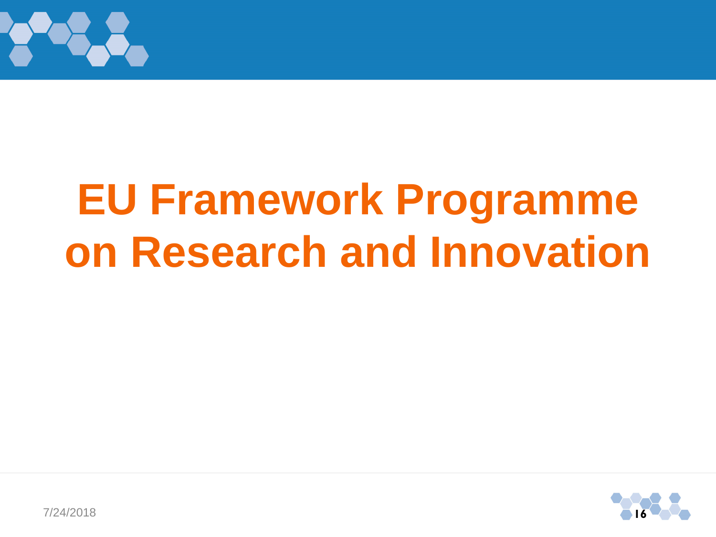

# **EU Framework Programme on Research and Innovation**

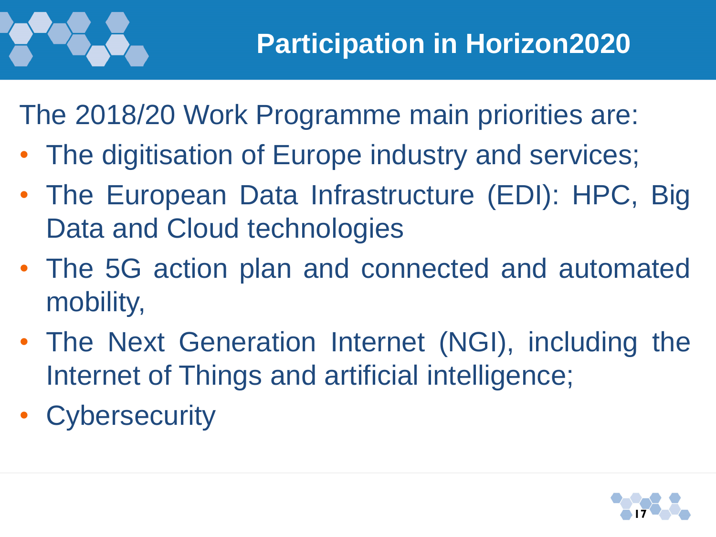

The 2018/20 Work Programme main priorities are:

- The digitisation of Europe industry and services;
- The European Data Infrastructure (EDI): HPC, Big Data and Cloud technologies
- The 5G action plan and connected and automated mobility,
- The Next Generation Internet (NGI), including the Internet of Things and artificial intelligence;
- Cybersecurity